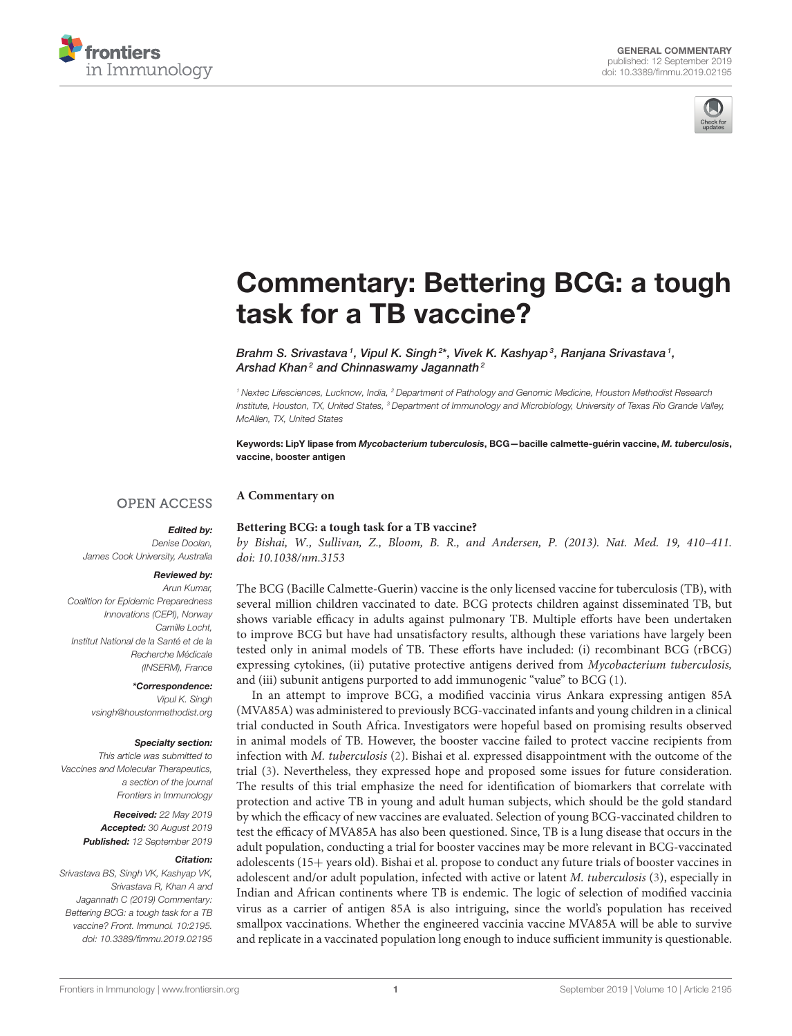



# [Commentary: Bettering BCG: a tough](https://www.frontiersin.org/articles/10.3389/fimmu.2019.02195/full) task for a TB vaccine?

Brahm S. Srivastava  $^{\textrm{\tiny{\textit{1}}}}$ , [Vipul K. Singh](http://loop.frontiersin.org/people/712944/overview) $^{2*}$ , Vivek K. Kashyap $^{\textrm{\tiny{\textit{3}}}}$ , Ranjana Srivastava  $^{\textrm{\tiny{\textit{1}}}}$ , [Arshad Khan](http://loop.frontiersin.org/people/720716/overview)<sup>2</sup> and Chinnaswamy Jagannath<sup>2</sup>

<sup>1</sup> Nextec Lifesciences, Lucknow, India, <sup>2</sup> Department of Pathology and Genomic Medicine, Houston Methodist Research Institute, Houston, TX, United States, <sup>3</sup> Department of Immunology and Microbiology, University of Texas Rio Grande Valley, McAllen, TX, United States

Keywords: LipY lipase from *Mycobacterium tuberculosis*, BCG—bacille calmette-guérin vaccine, *M. tuberculosis*, vaccine, booster antigen

#### **A Commentary on OPEN ACCESS**

### *Edited by:*

Denise Doolan, James Cook University, Australia

#### *Reviewed by:*

Arun Kumar, Coalition for Epidemic Preparedness Innovations (CEPI), Norway Camille Locht, Institut National de la Santé et de la Recherche Médicale (INSERM), France

> *\*Correspondence:* Vipul K. Singh [vsingh@houstonmethodist.org](mailto:vsingh@houstonmethodist.org)

#### *Specialty section:*

This article was submitted to Vaccines and Molecular Therapeutics, a section of the journal Frontiers in Immunology

> *Received:* 22 May 2019 *Accepted:* 30 August 2019 *Published:* 12 September 2019

#### *Citation:*

Srivastava BS, Singh VK, Kashyap VK, Srivastava R, Khan A and Jagannath C (2019) Commentary: Bettering BCG: a tough task for a TB vaccine? Front. Immunol. 10:2195. doi: [10.3389/fimmu.2019.02195](https://doi.org/10.3389/fimmu.2019.02195) **Bettering BCG: a tough task for a TB vaccine?**

by Bishai, W., Sullivan, Z., Bloom, B. R., and Andersen, P. (2013). Nat. Med. 19, 410–411. doi: [10.1038/nm.3153](https://doi.org/10.1038/nm.3153)

The BCG (Bacille Calmette-Guerin) vaccine is the only licensed vaccine for tuberculosis (TB), with several million children vaccinated to date. BCG protects children against disseminated TB, but shows variable efficacy in adults against pulmonary TB. Multiple efforts have been undertaken to improve BCG but have had unsatisfactory results, although these variations have largely been tested only in animal models of TB. These efforts have included: (i) recombinant BCG (rBCG) expressing cytokines, (ii) putative protective antigens derived from Mycobacterium tuberculosis, and (iii) subunit antigens purported to add immunogenic "value" to BCG [\(1\)](#page-2-0).

In an attempt to improve BCG, a modified vaccinia virus Ankara expressing antigen 85A (MVA85A) was administered to previously BCG-vaccinated infants and young children in a clinical trial conducted in South Africa. Investigators were hopeful based on promising results observed in animal models of TB. However, the booster vaccine failed to protect vaccine recipients from infection with M. tuberculosis [\(2\)](#page-2-1). Bishai et al. expressed disappointment with the outcome of the trial [\(3\)](#page-2-2). Nevertheless, they expressed hope and proposed some issues for future consideration. The results of this trial emphasize the need for identification of biomarkers that correlate with protection and active TB in young and adult human subjects, which should be the gold standard by which the efficacy of new vaccines are evaluated. Selection of young BCG-vaccinated children to test the efficacy of MVA85A has also been questioned. Since, TB is a lung disease that occurs in the adult population, conducting a trial for booster vaccines may be more relevant in BCG-vaccinated adolescents (15+ years old). Bishai et al. propose to conduct any future trials of booster vaccines in adolescent and/or adult population, infected with active or latent  $M$ . tuberculosis [\(3\)](#page-2-2), especially in Indian and African continents where TB is endemic. The logic of selection of modified vaccinia virus as a carrier of antigen 85A is also intriguing, since the world's population has received smallpox vaccinations. Whether the engineered vaccinia vaccine MVA85A will be able to survive and replicate in a vaccinated population long enough to induce sufficient immunity is questionable.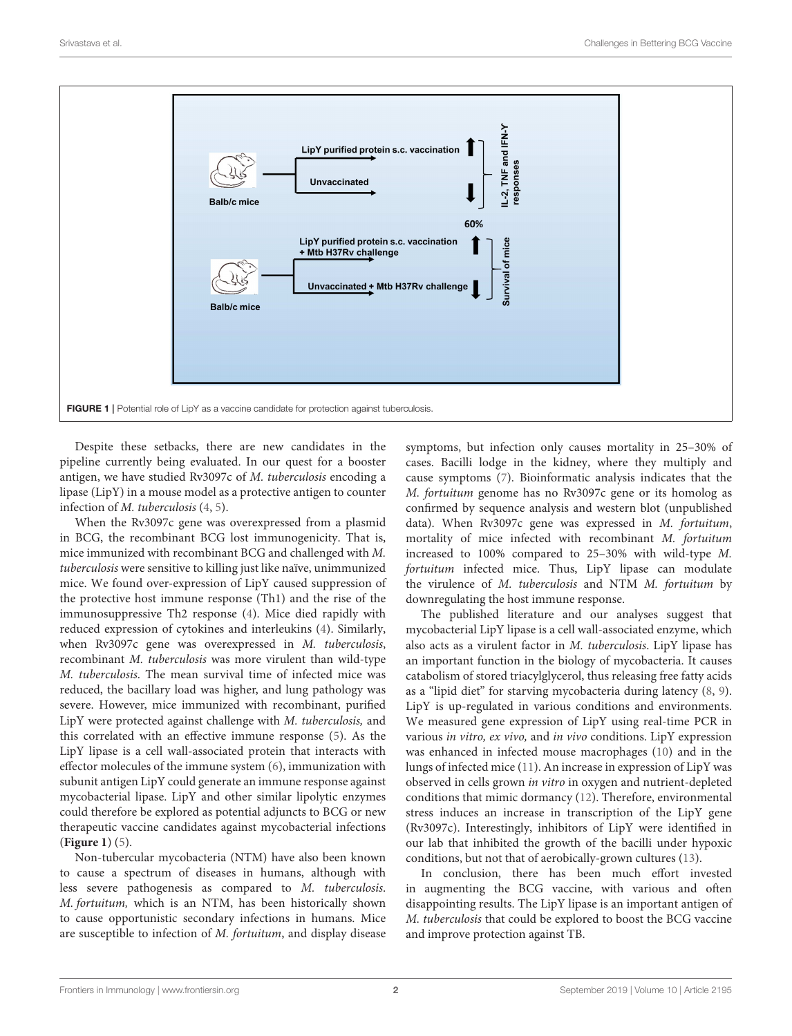

<span id="page-1-0"></span>Despite these setbacks, there are new candidates in the pipeline currently being evaluated. In our quest for a booster antigen, we have studied Rv3097c of M. tuberculosis encoding a lipase (LipY) in a mouse model as a protective antigen to counter infection of M. tuberculosis [\(4,](#page-2-3) [5\)](#page-2-4).

When the Rv3097c gene was overexpressed from a plasmid in BCG, the recombinant BCG lost immunogenicity. That is, mice immunized with recombinant BCG and challenged with M. tuberculosis were sensitive to killing just like naïve, unimmunized mice. We found over-expression of LipY caused suppression of the protective host immune response (Th1) and the rise of the immunosuppressive Th2 response [\(4\)](#page-2-3). Mice died rapidly with reduced expression of cytokines and interleukins [\(4\)](#page-2-3). Similarly, when Rv3097c gene was overexpressed in M. tuberculosis, recombinant M. tuberculosis was more virulent than wild-type M. tuberculosis. The mean survival time of infected mice was reduced, the bacillary load was higher, and lung pathology was severe. However, mice immunized with recombinant, purified LipY were protected against challenge with M. tuberculosis, and this correlated with an effective immune response [\(5\)](#page-2-4). As the LipY lipase is a cell wall-associated protein that interacts with effector molecules of the immune system [\(6\)](#page-2-5), immunization with subunit antigen LipY could generate an immune response against mycobacterial lipase. LipY and other similar lipolytic enzymes could therefore be explored as potential adjuncts to BCG or new therapeutic vaccine candidates against mycobacterial infections (**[Figure 1](#page-1-0)**) [\(5\)](#page-2-4).

Non-tubercular mycobacteria (NTM) have also been known to cause a spectrum of diseases in humans, although with less severe pathogenesis as compared to M. tuberculosis. M. fortuitum, which is an NTM, has been historically shown to cause opportunistic secondary infections in humans. Mice are susceptible to infection of M. fortuitum, and display disease

symptoms, but infection only causes mortality in 25–30% of cases. Bacilli lodge in the kidney, where they multiply and cause symptoms [\(7\)](#page-2-6). Bioinformatic analysis indicates that the M. fortuitum genome has no Rv3097c gene or its homolog as confirmed by sequence analysis and western blot (unpublished data). When Rv3097c gene was expressed in M. fortuitum, mortality of mice infected with recombinant M. fortuitum increased to 100% compared to 25–30% with wild-type M. fortuitum infected mice. Thus, LipY lipase can modulate the virulence of M. tuberculosis and NTM M. fortuitum by downregulating the host immune response.

The published literature and our analyses suggest that mycobacterial LipY lipase is a cell wall-associated enzyme, which also acts as a virulent factor in M. tuberculosis. LipY lipase has an important function in the biology of mycobacteria. It causes catabolism of stored triacylglycerol, thus releasing free fatty acids as a "lipid diet" for starving mycobacteria during latency [\(8,](#page-2-7) [9\)](#page-2-8). LipY is up-regulated in various conditions and environments. We measured gene expression of LipY using real-time PCR in various in vitro, ex vivo, and in vivo conditions. LipY expression was enhanced in infected mouse macrophages [\(10\)](#page-2-9) and in the lungs of infected mice [\(11\)](#page-2-10). An increase in expression of LipY was observed in cells grown in vitro in oxygen and nutrient-depleted conditions that mimic dormancy [\(12\)](#page-2-11). Therefore, environmental stress induces an increase in transcription of the LipY gene (Rv3097c). Interestingly, inhibitors of LipY were identified in our lab that inhibited the growth of the bacilli under hypoxic conditions, but not that of aerobically-grown cultures [\(13\)](#page-2-12).

In conclusion, there has been much effort invested in augmenting the BCG vaccine, with various and often disappointing results. The LipY lipase is an important antigen of M. tuberculosis that could be explored to boost the BCG vaccine and improve protection against TB.